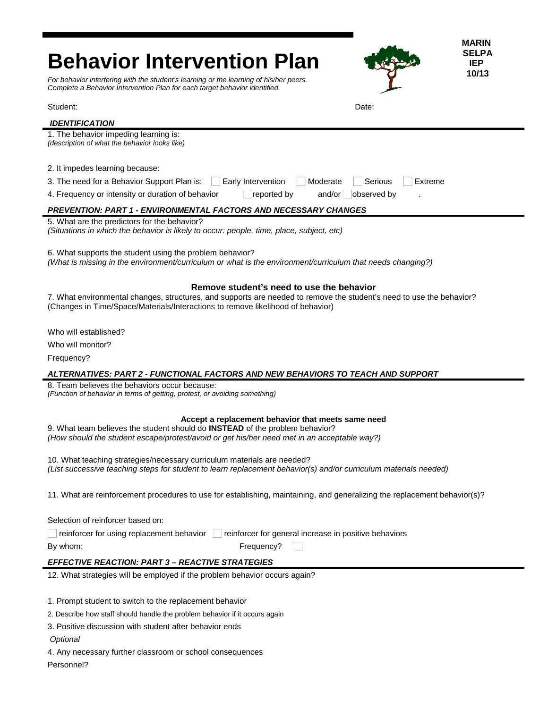| <b>MARIN</b>                                                                                                                                                                                                                      |  |
|-----------------------------------------------------------------------------------------------------------------------------------------------------------------------------------------------------------------------------------|--|
| <b>SELPA</b><br><b>Behavior Intervention Plan</b><br><b>IEP</b>                                                                                                                                                                   |  |
| 10/13                                                                                                                                                                                                                             |  |
| For behavior interfering with the student's learning or the learning of his/her peers.<br>Complete a Behavior Intervention Plan for each target behavior identified.                                                              |  |
| Student:<br>Date:                                                                                                                                                                                                                 |  |
| <b>IDENTIFICATION</b>                                                                                                                                                                                                             |  |
| 1. The behavior impeding learning is:<br>(description of what the behavior looks like)                                                                                                                                            |  |
| 2. It impedes learning because:                                                                                                                                                                                                   |  |
| Early Intervention<br>Moderate<br>Serious<br>Extreme<br>3. The need for a Behavior Support Plan is:                                                                                                                               |  |
| reported by<br>and/or<br>observed by<br>4. Frequency or intensity or duration of behavior                                                                                                                                         |  |
| <b>PREVENTION: PART 1 - ENVIRONMENTAL FACTORS AND NECESSARY CHANGES</b>                                                                                                                                                           |  |
| 5. What are the predictors for the behavior?<br>(Situations in which the behavior is likely to occur: people, time, place, subject, etc)                                                                                          |  |
| 6. What supports the student using the problem behavior?<br>(What is missing in the environment/curriculum or what is the environment/curriculum that needs changing?)                                                            |  |
| Remove student's need to use the behavior                                                                                                                                                                                         |  |
| 7. What environmental changes, structures, and supports are needed to remove the student's need to use the behavior?<br>(Changes in Time/Space/Materials/Interactions to remove likelihood of behavior)                           |  |
| Who will established?                                                                                                                                                                                                             |  |
| Who will monitor?                                                                                                                                                                                                                 |  |
| Frequency?                                                                                                                                                                                                                        |  |
| ALTERNATIVES: PART 2 - FUNCTIONAL FACTORS AND NEW BEHAVIORS TO TEACH AND SUPPORT                                                                                                                                                  |  |
| 8. Team believes the behaviors occur because:<br>(Function of behavior in terms of getting, protest, or avoiding something)                                                                                                       |  |
| Accept a replacement behavior that meets same need<br>9. What team believes the student should do INSTEAD of the problem behavior?<br>(How should the student escape/protest/avoid or get his/her need met in an acceptable way?) |  |
| 10. What teaching strategies/necessary curriculum materials are needed?<br>(List successive teaching steps for student to learn replacement behavior(s) and/or curriculum materials needed)                                       |  |
| 11. What are reinforcement procedures to use for establishing, maintaining, and generalizing the replacement behavior(s)?                                                                                                         |  |
| Selection of reinforcer based on:                                                                                                                                                                                                 |  |
| reinforcer for using replacement behavior   reinforcer for general increase in positive behaviors                                                                                                                                 |  |
| Frequency?<br>By whom:                                                                                                                                                                                                            |  |
| <b>EFFECTIVE REACTION: PART 3 - REACTIVE STRATEGIES</b>                                                                                                                                                                           |  |
| 12. What strategies will be employed if the problem behavior occurs again?                                                                                                                                                        |  |
| 1. Prompt student to switch to the replacement behavior                                                                                                                                                                           |  |
| 2. Describe how staff should handle the problem behavior if it occurs again                                                                                                                                                       |  |
| 3. Positive discussion with student after behavior ends                                                                                                                                                                           |  |
| Optional                                                                                                                                                                                                                          |  |
| 4. Any necessary further classroom or school consequences                                                                                                                                                                         |  |

Personnel?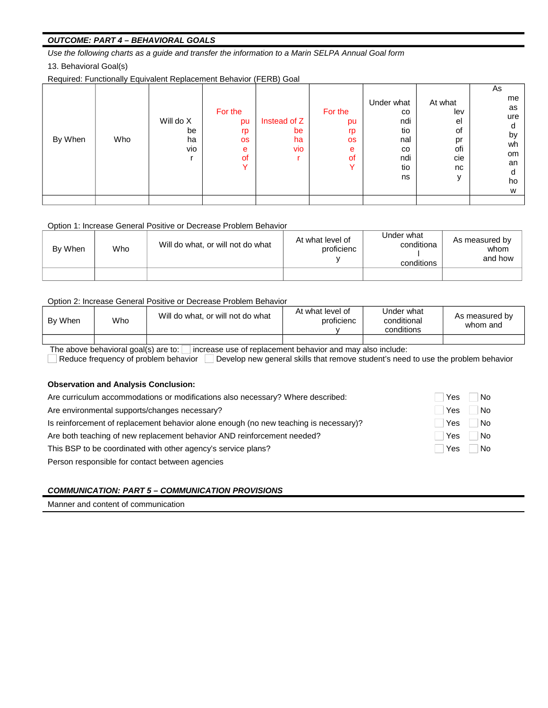## **OUTCOME: PART 4 - BEHAVIORAL GOALS**

Use the following charts as a guide and transfer the information to a Marin SELPA Annual Goal form 13. Behavioral Goal(s)

Required: Functionally Equivalent Replacement Behavior (FERB) Goal

| By When | Who | Will do X<br>be<br>ha<br>vio | For the<br>pu<br>rp<br><b>OS</b><br>e<br>of<br>$\checkmark$ | Instead of Z<br>be<br>ha<br>vio | For the<br>pu<br>rp<br><b>OS</b><br>e<br><sub>of</sub><br>Y | Under what<br>$_{\rm CO}$<br>ndi<br>tio<br>nal<br>$_{\rm CO}$<br>ndi<br>tio<br>ns | At what<br>lev<br>el<br>οf<br>pr<br>ofi<br>cie<br>nc | As<br>me<br>as<br>ure<br>d<br>by<br>wh<br>om<br>an<br>d<br>ho<br>W |
|---------|-----|------------------------------|-------------------------------------------------------------|---------------------------------|-------------------------------------------------------------|-----------------------------------------------------------------------------------|------------------------------------------------------|--------------------------------------------------------------------|
|         |     |                              |                                                             |                                 |                                                             |                                                                                   |                                                      |                                                                    |

#### Option 1: Increase General Positive or Decrease Problem Behavior

| By When | Who | Will do what, or will not do what | At what level of<br>proficienc | Under what<br>conditiona<br>conditions | As measured by<br>whom<br>and how |
|---------|-----|-----------------------------------|--------------------------------|----------------------------------------|-----------------------------------|
|         |     |                                   |                                |                                        |                                   |

#### Option 2: Increase General Positive or Decrease Problem Behavior

| By When                                                                                            | Who | Will do what, or will not do what | At what level of<br>proficienc | Under what<br>conditional<br>conditions | As measured by<br>whom and |  |  |
|----------------------------------------------------------------------------------------------------|-----|-----------------------------------|--------------------------------|-----------------------------------------|----------------------------|--|--|
|                                                                                                    |     |                                   |                                |                                         |                            |  |  |
| The above behavioral goal(s) are to:<br>inerases use of repleasment behavior and may also include: |     |                                   |                                |                                         |                            |  |  |

The above behavioral goal(s) are to:  $\square$  increase use of replacement behavior and may also include:<br> $\square$  Reduce frequency of problem behavior  $\square$  Develop new general skills that remove student's need to use the problem

### **Observation and Analysis Conclusion:**

| Are curriculum accommodations or modifications also necessary? Where described:       | <b>Yes</b> | No         |
|---------------------------------------------------------------------------------------|------------|------------|
| Are environmental supports/changes necessary?                                         | Yes        | No         |
| Is reinforcement of replacement behavior alone enough (no new teaching is necessary)? | Yes        | $\vert$ No |
| Are both teaching of new replacement behavior AND reinforcement needed?               | Yes        | No         |
| This BSP to be coordinated with other agency's service plans?                         | l Yes      | No         |
| Person responsible for contact between agencies                                       |            |            |

# **COMMUNICATION: PART 5 - COMMUNICATION PROVISIONS**

Manner and content of communication